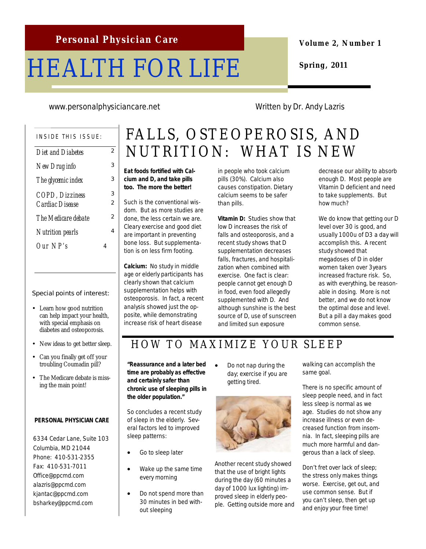# HEALTH FOR LIFE

**Volume 2, Number 1**

**Spring, 2011**

www.personalphysiciancare.net Written by Dr. Andy Lazris

#### INSIDE THIS ISSUE:

| Diet and Diabetes                         |   | 2      |
|-------------------------------------------|---|--------|
| New Drug info                             |   | 3      |
| The glycemic index                        |   | 3      |
| <b>COPD, Dizziness</b><br>Cardiac Disease |   | 3<br>2 |
| The Medicare debate                       |   | 2      |
| <b>Nutrition pearls</b>                   |   | 4      |
| Our $NP's$                                | 4 |        |
|                                           |   |        |

#### Special points of interest:

- Learn how good nutrition can help impact your health, with special emphasis on diabetes and osteoporosis.
- New ideas to get better sleep.
- Can you finally get off your troubling Coumadin pill?
- The Medicare debate is missing the main point!

#### **PERSONAL PHYSICIAN CARE**

6334 Cedar Lane, Suite 103 Columbia, MD 21044 Phone: 410-531-2355 Fax: 410-531-7011 Office@ppcmd.com alazris@ppcmd.com kjantac@ppcmd.com bsharkey@ppcmd.com

# FALLS, OSTEOPEROSIS, AND NUTRITION: WHAT IS NEW

**Eat foods fortified with Calcium and D, and take pills too. The more the better!**

Such is the conventional wisdom. But as more studies are done, the less certain we are. Cleary exercise and good diet are important in preventing bone loss. But supplementation is on less firm footing.

**Calcium:** No study in middle age or elderly participants has clearly shown that calcium supplementation helps with osteoporosis. In fact, a recent analysis showed just the opposite, while demonstrating increase risk of heart disease

in people who took calcium pills (30%). Calcium also causes constipation. Dietary calcium seems to be safer than pills.

**Vitamin D:** Studies show that low D increases the risk of falls and osteoporosis, and a recent study shows that D supplementation decreases falls, fractures, and hospitalization when combined with exercise. One fact is clear: people cannot get enough D in food, even food allegedly supplemented with D. And although sunshine is the best source of D, use of sunscreen and limited sun exposure

decrease our ability to absorb enough D. Most people are Vitamin D deficient and need to take supplements. But how much?

We do know that getting our D level over 30 is good, and usually 1000u of D3 a day will accomplish this. A recent study showed that megadoses of D in older women taken over 3years increased fracture risk. So, as with everything, be reasonable in dosing. More is not better, and we do not know the optimal dose and level. But a pill a day makes good common sense.

## HOW TO MAXIMIZE YOUR SLEEP

**"Reassurance and a later bed time are probably as effective and certainly safer than chronic use of sleeping pills in the older population."**

So concludes a recent study of sleep in the elderly. Several factors led to improved sleep patterns:

- Go to sleep later
- Wake up the same time every morning
- Do not spend more than 30 minutes in bed without sleeping

 Do not nap during the day; exercise if you are getting tired.



Another recent study showed that the use of bright lights during the day (60 minutes a day of 1000 lux lighting) improved sleep in elderly people. Getting outside more and walking can accomplish the same goal.

There is no specific amount of sleep people need, and in fact less sleep is normal as we age. Studies do not show any increase illness or even decreased function from insomnia. In fact, sleeping pills are much more harmful and dangerous than a lack of sleep.

Don't fret over lack of sleep; the stress only makes things worse. Exercise, get out, and use common sense. But if you can't sleep, then get up and enjoy your free time!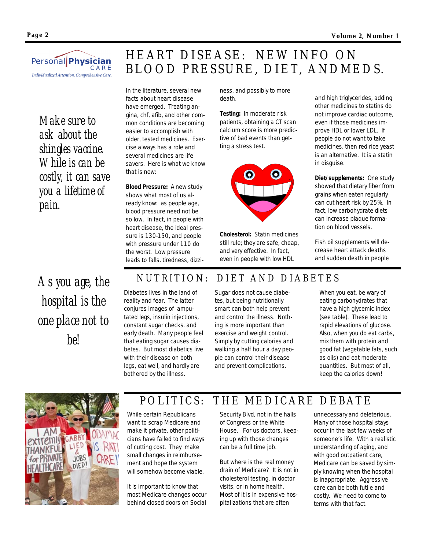

Individualized Attention. Comprehensive Care.

*Make sure to ask about the shingles vaccine. While is can be costly, it can save you a lifetime of pain.*

*As you age, the hospital is the one place not to be!*

# HEART DISEASE: NEW INFO ON BLOOD PRESSURE, DIET, ANDMEDS.

In the literature, several new facts about heart disease have emerged. Treating angina, chf, afib, and other common conditions are becoming easier to accomplish with older, tested medicines. Exercise always has a role and several medicines are life savers. Here is what we know that is new:

**Blood Pressure:** A new study shows what most of us already know: as people age, blood pressure need not be so low. In fact, in people with heart disease, the ideal pressure is 130-150, and people with pressure under 110 do the worst. Low pressure leads to falls, tiredness, dizziness, and possibly to more death.

**Testing:** In moderate risk patients, obtaining a CT scan calcium score is more predictive of bad events than getting a stress test.



**Cholesterol:** Statin medicines still rule; they are safe, cheap, and very effective. In fact, even in people with low HDL

and high triglycerides, adding other medicines to statins do not improve cardiac outcome, even if those medicines improve HDL or lower LDL. If people do not want to take medicines, then red rice yeast is an alternative. It is a statin in disguise.

**Diet/supplements:** One study showed that dietary fiber from grains when eaten regularly can cut heart risk by 25%. In fact, low carbohydrate diets can increase plaque formation on blood vessels.

Fish oil supplements will decrease heart attack deaths and sudden death in people

# NUTRITION: DIFT AND DIARFTES

Diabetes lives in the land of reality and fear. The latter conjures images of amputated legs, insulin injections, constant sugar checks. and early death. Many people feel that eating sugar causes diabetes. But most diabetics live with their disease on both legs, eat well, and hardly are bothered by the illness.

Sugar does not cause diabetes, but being nutritionally smart can both help prevent and control the illness. Nothing is more important than exercise and weight control. Simply by cutting calories and walking a half hour a day people can control their disease and prevent complications.

When you eat, be wary of eating carbohydrates that have a high glycemic index (see table). These lead to rapid elevations of glucose. Also, when you do eat carbs, mix them with protein and good fat (vegetable fats, such as oils) and eat moderate quantities. But most of all, keep the calories down!



# POLITICS: THE MEDICARE DEBATE

While certain Republicans want to scrap Medicare and make it private, other politicians have failed to find ways of cutting cost. They make small changes in reimbursement and hope the system will somehow become viable.

It is important to know that most Medicare changes occur behind closed doors on Social Security Blvd, not in the halls of Congress or the White House. For us doctors, keeping up with those changes can be a full time job.

But where is the real money drain of Medicare? It is not in cholesterol testing, in doctor visits, or in home health. Most of it is in expensive hospitalizations that are often

unnecessary and deleterious. Many of those hospital stays occur in the last few weeks of someone's life. With a realistic understanding of aging, and with good outpatient care, Medicare can be saved by simply knowing when the hospital is inappropriate. Aggressive care can be both futile and costly. We need to come to terms with that fact.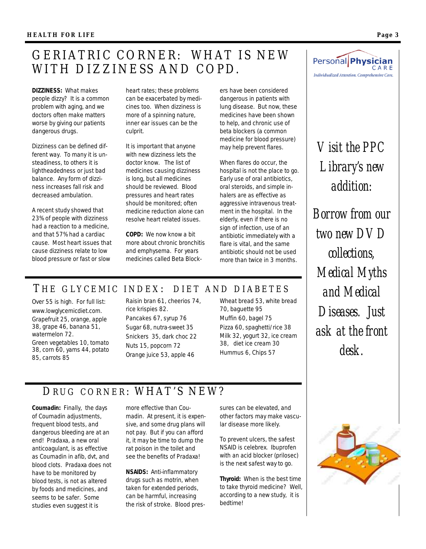# GERIATRIC CORNER: WHAT IS NEW WITH DIZZINESS AND COPD.

**DIZZINESS:** What makes people dizzy? It is a common problem with aging, and we doctors often make matters worse by giving our patients dangerous drugs.

Dizziness can be defined different way. To many it is unsteadiness, to others it is lightheadedness or just bad balance. Any form of dizziness increases fall risk and decreased ambulation.

A recent study showed that 23% of people with dizziness had a reaction to a medicine, and that 57% had a cardiac cause. Most heart issues that cause dizziness relate to low blood pressure or fast or slow

heart rates; these problems can be exacerbated by medicines too. When dizziness is more of a spinning nature, inner ear issues can be the culprit.

It is important that anyone with new dizziness lets the doctor know. The list of medicines causing dizziness is long, but all medicines should be reviewed. Blood pressures and heart rates should be monitored; often medicine reduction alone can resolve heart related issues.

**COPD:** We now know a bit more about chronic bronchitis and emphysema. For years medicines called Beta Blockers have been considered dangerous in patients with lung disease. But now, these medicines have been shown to help, and chronic use of beta blockers (a common medicine for blood pressure) may help prevent flares.

When flares do occur, the hospital is not the place to go. Early use of oral antibiotics, oral steroids, and simple inhalers are as effective as aggressive intravenous treatment in the hospital. In the elderly, even if there is no sign of infection, use of an antibiotic immediately with a flare is vital, and the same antibiotic should not be used more than twice in 3 months.

### THE GIYCEMIC INDEX: DIFT AND DIABETES

Over 55 is high. For full list: www.lowglycemicdiet.com. Grapefruit 25, orange, apple 38, grape 46, banana 51, watermelon 72. Green vegetables 10, tomato 38, corn 60, yams 44, potato 85, carrots 85

Raisin bran 61, cheerios 74, rice krispies 82. Pancakes 67, syrup 76 Sugar 68, nutra-sweet 35 Snickers 35, dark choc 22 Nuts 15, popcorn 72 Orange juice 53, apple 46

Wheat bread 53, white bread 70, baguette 95 Muffin 60, bagel 75 Pizza 60, spaghetti/rice 38 Milk 32, yogurt 32, ice cream 38, diet ice cream 30 Hummus 6, Chips 57

#### Personal Physician CARF Individualized Attention. Comprehensive Care.

*Visit the PPC Library's new addition:*

*Borrow from our two new DVD collections, Medical Myths and Medical Diseases. Just ask at the front desk.*

### DRUG CORNER: WHAT'S NFW?

**Coumadin:** Finally, the days of Coumadin adjustments, frequent blood tests, and dangerous bleeding are at an end! Pradaxa, a new oral anticoagulant, is as effective as Coumadin in afib, dvt, and blood clots. Pradaxa does not have to be monitored by blood tests, is not as altered by foods and medicines, and seems to be safer. Some studies even suggest it is

more effective than Coumadin. At present, it is expensive, and some drug plans will not pay. But if you can afford it, it may be time to dump the rat poison in the toilet and see the benefits of Pradaxa!

**NSAIDS:** Anti-inflammatory drugs such as motrin, when taken for extended periods, can be harmful, increasing the risk of stroke. Blood pressures can be elevated, and other factors may make vascular disease more likely.

To prevent ulcers, the safest NSAID is celebrex. Ibuprofen with an acid blocker (prilosec) is the next safest way to go.

**Thyroid:** When is the best time to take thyroid medicine? Well, according to a new study, it is bedtime!